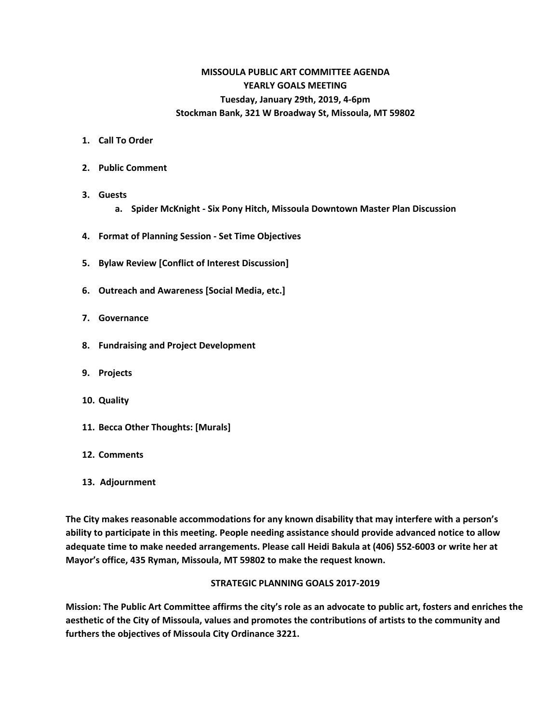# **MISSOULA PUBLIC ART COMMITTEE AGENDA YEARLY GOALS MEETING Tuesday, January 29th, 2019, 4-6pm Stockman Bank, 321 W Broadway St, Missoula, MT 59802**

- **1. Call To Order**
- **2. Public Comment**
- **3. Guests a. Spider McKnight - Six Pony Hitch, Missoula Downtown Master Plan Discussion**
- **4. Format of Planning Session - Set Time Objectives**
- **5. Bylaw Review [Conflict of Interest Discussion]**
- **6. Outreach and Awareness [Social Media, etc.]**
- **7. Governance**
- **8. Fundraising and Project Development**
- **9. Projects**
- **10. Quality**
- **11. Becca Other Thoughts: [Murals]**
- **12. Comments**
- **13. Adjournment**

**The City makes reasonable accommodations for any known disability that may interfere with a person's ability to participate in this meeting. People needing assistance should provide advanced notice to allow adequate time to make needed arrangements. Please call Heidi Bakula at (406) 552-6003 or write her at Mayor's office, 435 Ryman, Missoula, MT 59802 to make the request known.**

#### **STRATEGIC PLANNING GOALS 2017-2019**

Mission: The Public Art Committee affirms the city's role as an advocate to public art, fosters and enriches the **aesthetic of the City of Missoula, values and promotes the contributions of artists to the community and furthers the objectives of Missoula City Ordinance 3221.**